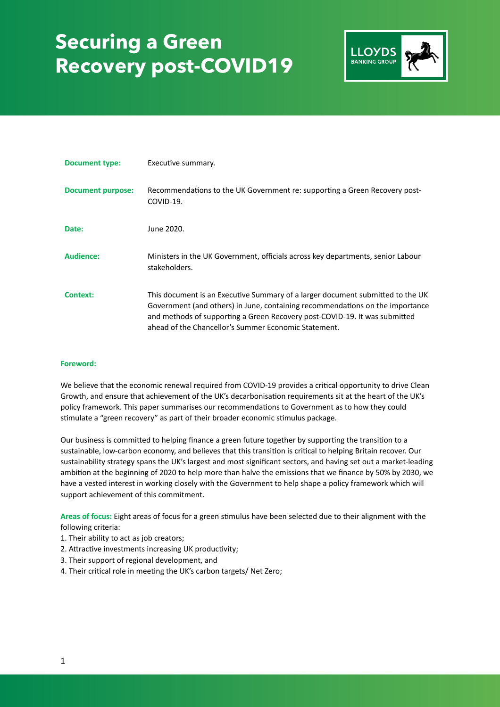

| <b>Document type:</b>    | Executive summary.                                                                                                                                                                                                                                                                                    |
|--------------------------|-------------------------------------------------------------------------------------------------------------------------------------------------------------------------------------------------------------------------------------------------------------------------------------------------------|
| <b>Document purpose:</b> | Recommendations to the UK Government re: supporting a Green Recovery post-<br>COVID-19.                                                                                                                                                                                                               |
| Date:                    | June 2020.                                                                                                                                                                                                                                                                                            |
| Audience:                | Ministers in the UK Government, officials across key departments, senior Labour<br>stakeholders.                                                                                                                                                                                                      |
| <b>Context:</b>          | This document is an Executive Summary of a larger document submitted to the UK<br>Government (and others) in June, containing recommendations on the importance<br>and methods of supporting a Green Recovery post-COVID-19. It was submitted<br>ahead of the Chancellor's Summer Economic Statement. |

### **Foreword:**

We believe that the economic renewal required from COVID-19 provides a critical opportunity to drive Clean Growth, and ensure that achievement of the UK's decarbonisation requirements sit at the heart of the UK's policy framework. This paper summarises our recommendations to Government as to how they could stimulate a "green recovery" as part of their broader economic stimulus package.

Our business is committed to helping finance a green future together by supporting the transition to a sustainable, low-carbon economy, and believes that this transition is critical to helping Britain recover. Our sustainability strategy spans the UK's largest and most significant sectors, and having set out a market-leading ambition at the beginning of 2020 to help more than halve the emissions that we finance by 50% by 2030, we have a vested interest in working closely with the Government to help shape a policy framework which will support achievement of this commitment.

Areas of focus: Eight areas of focus for a green stimulus have been selected due to their alignment with the following criteria:

- 1. Their ability to act as job creators;
- 2. Attractive investments increasing UK productivity;
- 3. Their support of regional development, and
- 4. Their critical role in meeting the UK's carbon targets/ Net Zero;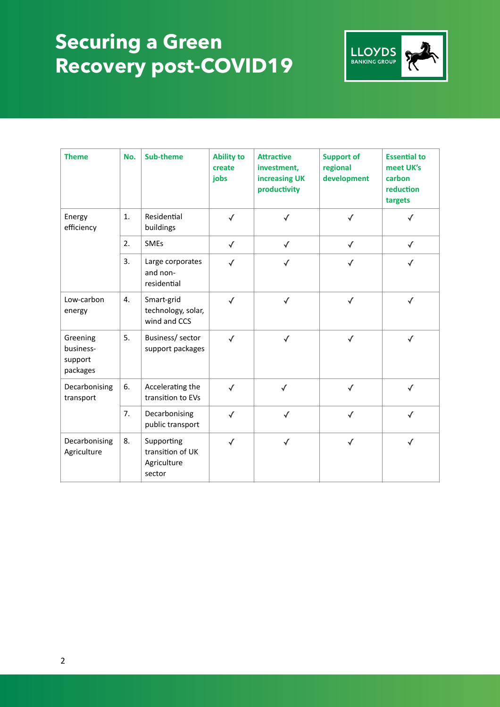

| <b>Theme</b>                                 | No. | <b>Sub-theme</b>                                        | <b>Ability to</b><br>create<br>jobs | <b>Attractive</b><br>investment,<br>increasing UK<br>productivity | <b>Support of</b><br>regional<br>development | <b>Essential to</b><br>meet UK's<br>carbon<br>reduction<br>targets |
|----------------------------------------------|-----|---------------------------------------------------------|-------------------------------------|-------------------------------------------------------------------|----------------------------------------------|--------------------------------------------------------------------|
| Energy<br>efficiency                         | 1.  | Residential<br>buildings                                | $\checkmark$                        | $\checkmark$                                                      | $\checkmark$                                 | √                                                                  |
|                                              | 2.  | <b>SMEs</b>                                             | $\checkmark$                        | $\checkmark$                                                      | $\checkmark$                                 | $\checkmark$                                                       |
|                                              | 3.  | Large corporates<br>and non-<br>residential             | $\checkmark$                        | $\checkmark$                                                      | $\checkmark$                                 | $\checkmark$                                                       |
| Low-carbon<br>energy                         | 4.  | Smart-grid<br>technology, solar,<br>wind and CCS        | $\checkmark$                        | $\checkmark$                                                      | $\checkmark$                                 | $\checkmark$                                                       |
| Greening<br>business-<br>support<br>packages | 5.  | Business/ sector<br>support packages                    | $\checkmark$                        | $\checkmark$                                                      | $\checkmark$                                 | $\checkmark$                                                       |
| Decarbonising<br>transport                   | 6.  | Accelerating the<br>transition to EVs                   | $\checkmark$                        | $\checkmark$                                                      | $\checkmark$                                 | $\checkmark$                                                       |
|                                              | 7.  | Decarbonising<br>public transport                       | $\checkmark$                        | $\checkmark$                                                      | $\checkmark$                                 | $\checkmark$                                                       |
| Decarbonising<br>Agriculture                 | 8.  | Supporting<br>transition of UK<br>Agriculture<br>sector | $\checkmark$                        | $\checkmark$                                                      | $\checkmark$                                 | $\checkmark$                                                       |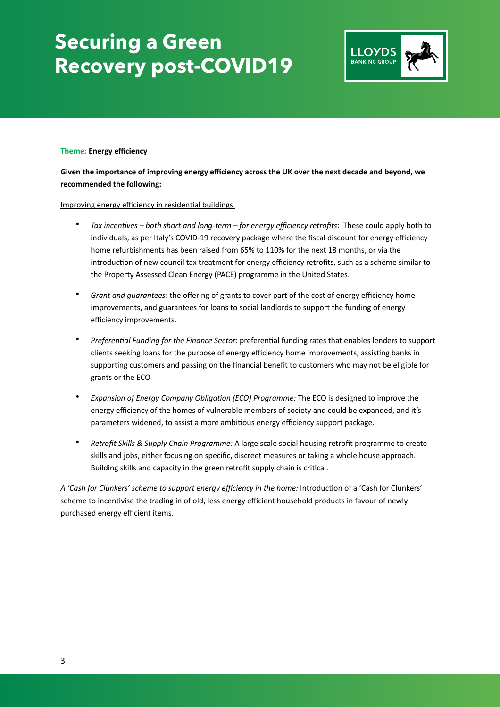

### **Theme: Energy efficiency**

**Given the importance of improving energy efficiency across the UK over the next decade and beyond, we recommended the following:** 

Improving energy efficiency in residential buildings

- Tax incentives both short and long-term for energy efficiency retrofits: These could apply both to individuals, as per Italy's COVID-19 recovery package where the fiscal discount for energy efficiency home refurbishments has been raised from 65% to 110% for the next 18 months, or via the introduction of new council tax treatment for energy efficiency retrofits, such as a scheme similar to the Property Assessed Clean Energy (PACE) programme in the United States.
- *Grant and guarantees*: the offering of grants to cover part of the cost of energy efficiency home improvements, and guarantees for loans to social landlords to support the funding of energy efficiency improvements.
- *Preferential Funding for the Finance Sector: preferential funding rates that enables lenders to support* clients seeking loans for the purpose of energy efficiency home improvements, assisting banks in supporting customers and passing on the financial benefit to customers who may not be eligible for grants or the ECO
- *Expansion of Energy Company Obligation (ECO) Programme:* The ECO is designed to improve the energy efficiency of the homes of vulnerable members of society and could be expanded, and it's parameters widened, to assist a more ambitious energy efficiency support package.
- *Retrofit Skills & Supply Chain Programme:* A large scale social housing retrofit programme to create skills and jobs, either focusing on specific, discreet measures or taking a whole house approach. Building skills and capacity in the green retrofit supply chain is critical.

A 'Cash for Clunkers' scheme to support energy efficiency in the home: Introduction of a 'Cash for Clunkers' scheme to incentivise the trading in of old, less energy efficient household products in favour of newly purchased energy efficient items.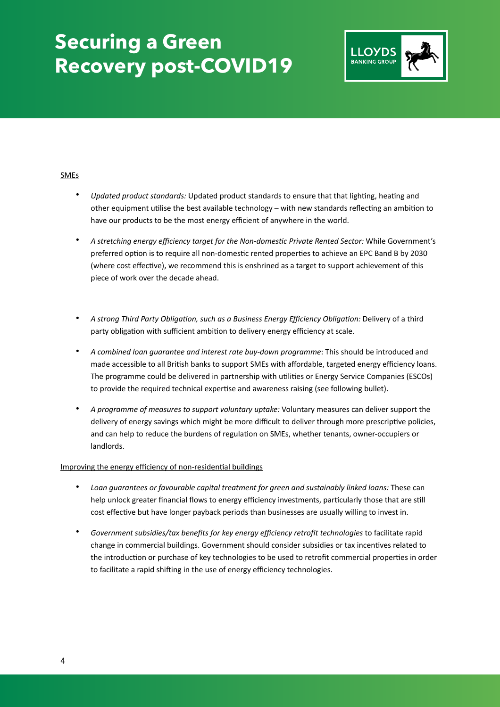

### **SMEs**

- *Updated product standards:* Updated product standards to ensure that that lighting, heating and other equipment utilise the best available technology – with new standards reflecting an ambition to have our products to be the most energy efficient of anywhere in the world.
- A stretching energy efficiency target for the Non-domestic Private Rented Sector: While Government's preferred option is to require all non-domestic rented properties to achieve an EPC Band B by 2030 (where cost effective), we recommend this is enshrined as a target to support achievement of this piece of work over the decade ahead.
- A strong Third Party Obligation, such as a Business Energy Efficiency Obligation: Delivery of a third party obligation with sufficient ambition to delivery energy efficiency at scale.
- *A combined loan guarantee and interest rate buy-down programme*: This should be introduced and made accessible to all British banks to support SMEs with affordable, targeted energy efficiency loans. The programme could be delivered in partnership with utilities or Energy Service Companies (ESCOs) to provide the required technical expertise and awareness raising (see following bullet).
- *A programme of measures to support voluntary uptake:* Voluntary measures can deliver support the delivery of energy savings which might be more difficult to deliver through more prescriptive policies, and can help to reduce the burdens of regulation on SMEs, whether tenants, owner-occupiers or landlords.

### Improving the energy efficiency of non-residential buildings

- *Loan guarantees or favourable capital treatment for green and sustainably linked loans:* These can help unlock greater financial flows to energy efficiency investments, particularly those that are still cost effective but have longer payback periods than businesses are usually willing to invest in.
- *Government subsidies/tax benefits for key energy efficiency retrofit technologies* to facilitate rapid change in commercial buildings. Government should consider subsidies or tax incentives related to the introduction or purchase of key technologies to be used to retrofit commercial properties in order to facilitate a rapid shifting in the use of energy efficiency technologies.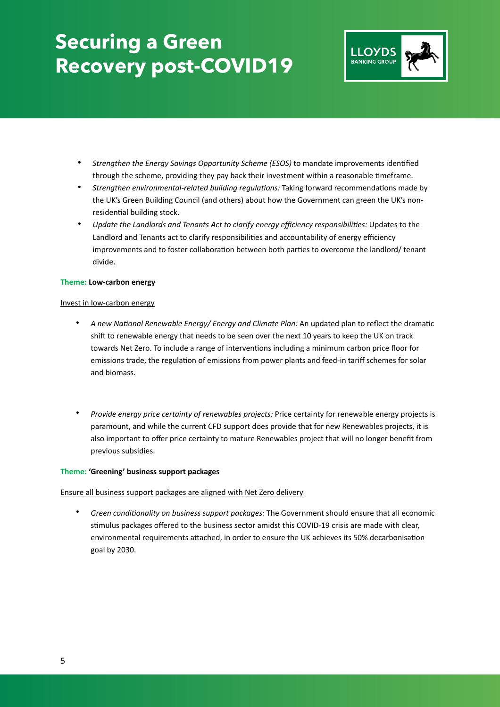

- Strengthen the Energy Savings Opportunity Scheme (ESOS) to mandate improvements identified through the scheme, providing they pay back their investment within a reasonable timeframe.
- *Strengthen environmental-related building regulations:* Taking forward recommendations made by the UK's Green Building Council (and others) about how the Government can green the UK's nonresidential building stock.
- Update the Landlords and Tenants Act to clarify energy efficiency responsibilities: Updates to the Landlord and Tenants act to clarify responsibilities and accountability of energy efficiency improvements and to foster collaboration between both parties to overcome the landlord/ tenant divide.

### **Theme: Low-carbon energy**

### Invest in low-carbon energy

- A new National Renewable Energy/ Energy and Climate Plan: An updated plan to reflect the dramatic shift to renewable energy that needs to be seen over the next 10 years to keep the UK on track towards Net Zero. To include a range of interventions including a minimum carbon price floor for emissions trade, the regulation of emissions from power plants and feed-in tariff schemes for solar and biomass.
- *Provide energy price certainty of renewables projects:* Price certainty for renewable energy projects is paramount, and while the current CFD support does provide that for new Renewables projects, it is also important to offer price certainty to mature Renewables project that will no longer benefit from previous subsidies.

### **Theme: 'Greening' business support packages**

### Ensure all business support packages are aligned with Net Zero delivery

Green conditionality on business support packages: The Government should ensure that all economic stimulus packages offered to the business sector amidst this COVID-19 crisis are made with clear, environmental requirements attached, in order to ensure the UK achieves its 50% decarbonisation goal by 2030.